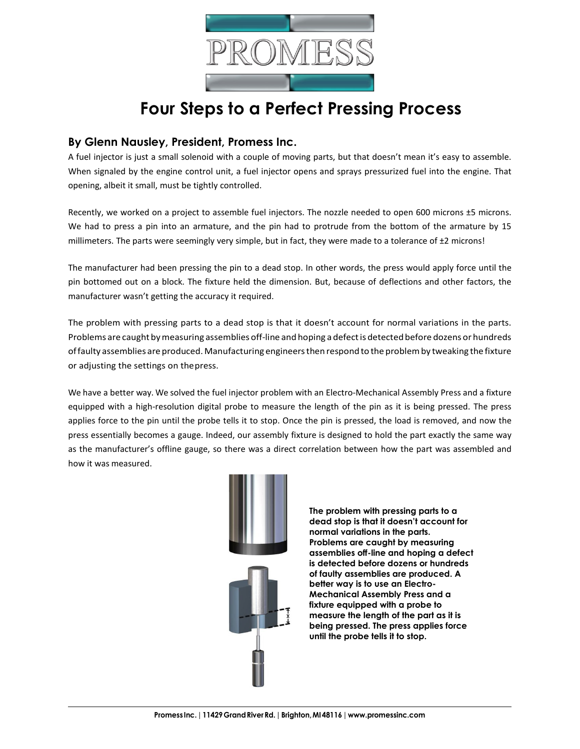

# **Four Steps to a Perfect Pressing Process**

## **By Glenn Nausley, President, Promess Inc.**

A fuel injector is just a small solenoid with a couple of moving parts, but that doesn't mean it's easy to assemble. When signaled by the engine control unit, a fuel injector opens and sprays pressurized fuel into the engine. That opening, albeit it small, must be tightly controlled.

Recently, we worked on a project to assemble fuel injectors. The nozzle needed to open 600 microns ±5 microns. We had to press a pin into an armature, and the pin had to protrude from the bottom of the armature by 15 millimeters. The parts were seemingly very simple, but in fact, they were made to a tolerance of  $\pm 2$  microns!

The manufacturer had been pressing the pin to a dead stop. In other words, the press would apply force until the pin bottomed out on a block. The fixture held the dimension. But, because of deflections and other factors, the manufacturer wasn't getting the accuracy it required.

The problem with pressing parts to a dead stop is that it doesn't account for normal variations in the parts. Problems are caught by measuring assemblies off-line and hoping a defect is detected before dozens or hundreds offaulty assemblies are produced.Manufacturing engineersthenrespondto the problemby tweaking the fixture or adjusting the settings on thepress.

We have a better way. We solved the fuel injector problem with an Electro-Mechanical Assembly Press and a fixture equipped with a high-resolution digital probe to measure the length of the pin as it is being pressed. The press applies force to the pin until the probe tells it to stop. Once the pin is pressed, the load is removed, and now the press essentially becomes a gauge. Indeed, our assembly fixture is designed to hold the part exactly the same way as the manufacturer's offline gauge, so there was a direct correlation between how the part was assembled and how it was measured.





**The problem with pressing parts to a dead stop is that it doesn't account for normal variations in the parts. Problems are caught by measuring assemblies off-line and hoping a defect is detected before dozens or hundreds of faulty assemblies are produced. A better way is to use an Electro-Mechanical Assembly Press and a fixture equipped with a probe to measure the length of the part as it is being pressed. The press applies force until the probe tells it to stop.**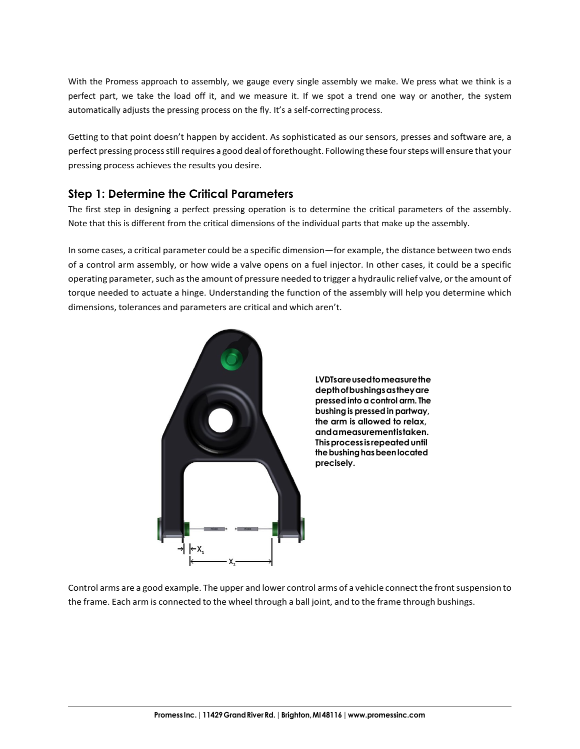With the Promess approach to assembly, we gauge every single assembly we make. We press what we think is a perfect part, we take the load off it, and we measure it. If we spot a trend one way or another, the system automatically adjusts the pressing process on the fly. It's a self-correcting process.

Getting to that point doesn't happen by accident. As sophisticated as our sensors, presses and software are, a perfect pressing process still requires a good deal of forethought. Following these four steps will ensure that your pressing process achieves the results you desire.

## **Step 1: Determine the Critical Parameters**

The first step in designing a perfect pressing operation is to determine the critical parameters of the assembly. Note that this is different from the critical dimensions of the individual parts that make up the assembly.

In some cases, a critical parameter could be a specific dimension—for example, the distance between two ends of a control arm assembly, or how wide a valve opens on a fuel injector. In other cases, it could be a specific operating parameter, such as the amount of pressure needed to trigger a hydraulic relief valve, or the amount of torque needed to actuate a hinge. Understanding the function of the assembly will help you determine which dimensions, tolerances and parameters are critical and which aren't.



Control arms are a good example. The upper and lower control arms of a vehicle connect the front suspension to the frame. Each arm is connected to the wheel through a ball joint, and to the frame through bushings.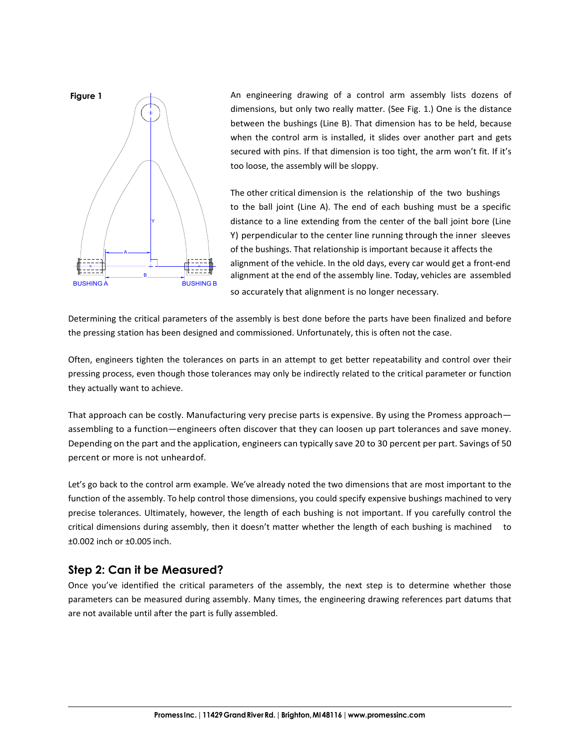

**Figure 1** An engineering drawing of a control arm assembly lists dozens of dimensions, but only two really matter. (See Fig. 1.) One is the distance between the bushings (Line B). That dimension has to be held, because when the control arm is installed, it slides over another part and gets secured with pins. If that dimension is too tight, the arm won't fit. If it's too loose, the assembly will be sloppy.

> The other critical dimension is the relationship of the two bushings to the ball joint (Line A). The end of each bushing must be a specific distance to a line extending from the center of the ball joint bore (Line Y) perpendicular to the center line running through the inner sleeves of the bushings. That relationship is important because it affects the alignment of the vehicle. In the old days, every car would get a front-end alignment at the end of the assembly line. Today, vehicles are assembled so accurately that alignment is no longer necessary.

Determining the critical parameters of the assembly is best done before the parts have been finalized and before the pressing station has been designed and commissioned. Unfortunately, this is often not the case.

Often, engineers tighten the tolerances on parts in an attempt to get better repeatability and control over their pressing process, even though those tolerances may only be indirectly related to the critical parameter or function they actually want to achieve.

That approach can be costly. Manufacturing very precise parts is expensive. By using the Promess approach assembling to a function—engineers often discover that they can loosen up part tolerances and save money. Depending on the part and the application, engineers can typically save 20 to 30 percent per part. Savings of 50 percent or more is not unheardof.

Let's go back to the control arm example. We've already noted the two dimensions that are most important to the function of the assembly. To help control those dimensions, you could specify expensive bushings machined to very precise tolerances. Ultimately, however, the length of each bushing is not important. If you carefully control the critical dimensions during assembly, then it doesn't matter whether the length of each bushing is machined to ±0.002 inch or ±0.005 inch.

## **Step 2: Can it be Measured?**

Once you've identified the critical parameters of the assembly, the next step is to determine whether those parameters can be measured during assembly. Many times, the engineering drawing references part datums that are not available until after the part is fully assembled.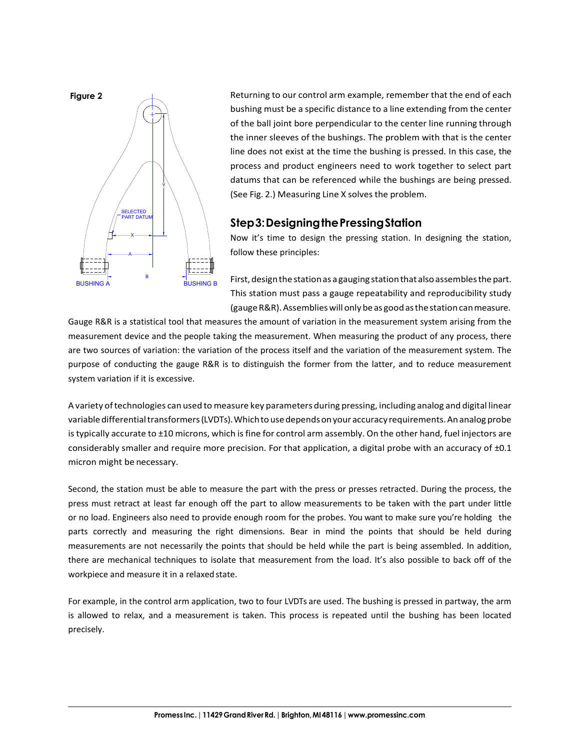

Returning to our control arm example, remember that the end of each bushing must be a specific distance to a line extending from the center of the ball joint bore perpendicular to the center line running through the inner sleeves of the bushings. The problem with that is the center line does not exist at the time the bushing is pressed. In this case, the process and product engineers need to work together to select part datums that can be referenced while the bushings are being pressed. (See Fig. 2.) Measuring Line X solves the problem.

#### **Step3:DesigningthePressingStation**

Now it's time to design the pressing station. In designing the station, follow these principles:

First, design the station as a gauging station that also assembles the part. This station must pass a gauge repeatability and reproducibility study (gauge R&R). Assemblies will only be as good as the station can measure.

Gauge R&R is a statistical tool that measures the amount of variation in the measurement system arising from the measurement device and the people taking the measurement. When measuring the product of any process, there are two sources of variation: the variation of the process itself and the variation of the measurement system. The purpose of conducting the gauge R&R is to distinguish the former from the latter, and to reduce measurement system variation if it is excessive.

A variety oftechnologies can used to measure key parameters during pressing, including analog and digital linear variable differential transformers (LVDTs). Which to use depends on your accuracy requirements. An analog probe is typically accurate to  $\pm 10$  microns, which is fine for control arm assembly. On the other hand, fuel injectors are considerably smaller and require more precision. For that application, a digital probe with an accuracy of  $\pm 0.1$ micron might be necessary.

Second, the station must be able to measure the part with the press or presses retracted. During the process, the press must retract at least far enough off the part to allow measurements to be taken with the part under little or no load. Engineers also need to provide enough room for the probes. You want to make sure you're holding the parts correctly and measuring the right dimensions. Bear in mind the points that should be held during measurements are not necessarily the points that should be held while the part is being assembled. In addition, there are mechanical techniques to isolate that measurement from the load. It's also possible to back off of the workpiece and measure it in a relaxed state.

For example, in the control arm application, two to four LVDTs are used. The bushing is pressed in partway, the arm is allowed to relax, and a measurement is taken. This process is repeated until the bushing has been located precisely.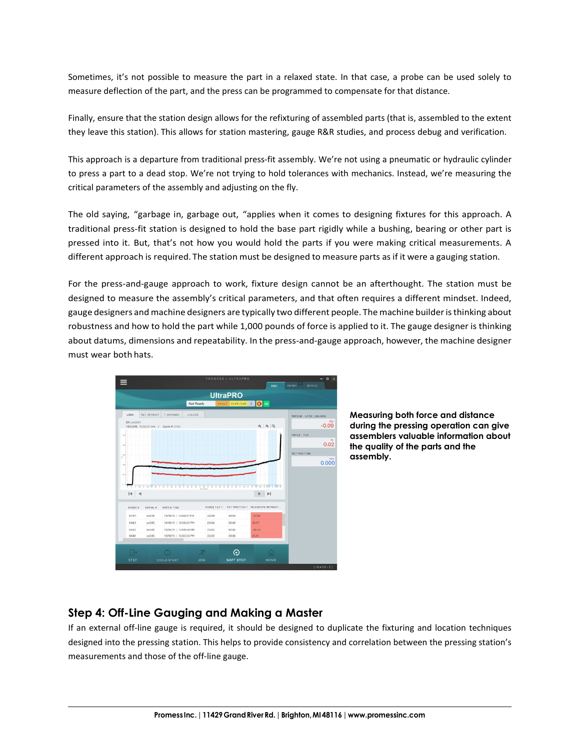Sometimes, it's not possible to measure the part in a relaxed state. In that case, a probe can be used solely to measure deflection of the part, and the press can be programmed to compensate for that distance.

Finally, ensure that the station design allows for the refixturing of assembled parts (that is, assembled to the extent they leave this station). This allows for station mastering, gauge R&R studies, and process debug and verification.

This approach is a departure from traditional press-fit assembly. We're not using a pneumatic or hydraulic cylinder to press a part to a dead stop. We're not trying to hold tolerances with mechanics. Instead, we're measuring the critical parameters of the assembly and adjusting on the fly.

The old saying, "garbage in, garbage out, "applies when it comes to designing fixtures for this approach. A traditional press-fit station is designed to hold the base part rigidly while a bushing, bearing or other part is pressed into it. But, that's not how you would hold the parts if you were making critical measurements. A different approach is required. The station must be designed to measure parts as if it were a gauging station.

For the press-and-gauge approach to work, fixture design cannot be an afterthought. The station must be designed to measure the assembly's critical parameters, and that often requires a different mindset. Indeed, gauge designers and machine designers are typically two different people. The machine builder is thinking about robustness and how to hold the part while 1,000 pounds of force is applied to it. The gauge designer is thinking about datums, dimensions and repeatability. In the press-and-gauge approach, however, the machine designer must wear both hats.



**Measuring both force and distance during the pressing operation can give assemblers valuable information about the quality of the parts and the assembly.**

#### **Step 4: Off-Line Gauging and Making a Master**

If an external off-line gauge is required, it should be designed to duplicate the fixturing and location techniques designed into the pressing station. This helps to provide consistency and correlation between the pressing station's measurements and those of the off-line gauge.